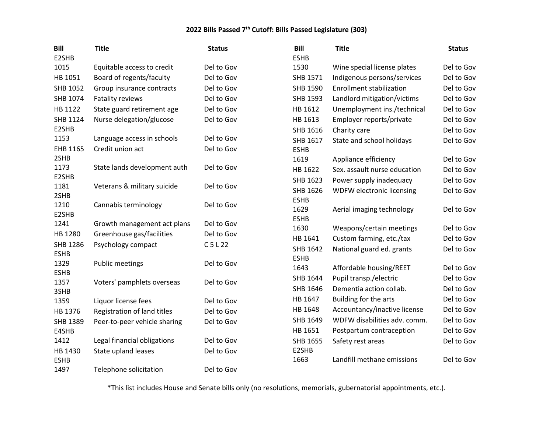| <b>Bill</b>  | <b>Title</b>                 | <b>Status</b> | <b>Bill</b> | <b>Title</b>                    | <b>Status</b> |
|--------------|------------------------------|---------------|-------------|---------------------------------|---------------|
| E2SHB        |                              |               | <b>ESHB</b> |                                 |               |
| 1015         | Equitable access to credit   | Del to Gov    | 1530        | Wine special license plates     | Del to Gov    |
| HB 1051      | Board of regents/faculty     | Del to Gov    | SHB 1571    | Indigenous persons/services     | Del to Gov    |
| SHB 1052     | Group insurance contracts    | Del to Gov    | SHB 1590    | <b>Enrollment stabilization</b> | Del to Gov    |
| SHB 1074     | Fatality reviews             | Del to Gov    | SHB 1593    | Landlord mitigation/victims     | Del to Gov    |
| HB 1122      | State guard retirement age   | Del to Gov    | HB 1612     | Unemployment ins./technical     | Del to Gov    |
| SHB 1124     | Nurse delegation/glucose     | Del to Gov    | HB 1613     | Employer reports/private        | Del to Gov    |
| E2SHB        |                              |               | SHB 1616    | Charity care                    | Del to Gov    |
| 1153         | Language access in schools   | Del to Gov    | SHB 1617    | State and school holidays       | Del to Gov    |
| EHB 1165     | Credit union act             | Del to Gov    | <b>ESHB</b> |                                 |               |
| 2SHB         |                              |               | 1619        | Appliance efficiency            | Del to Gov    |
| 1173         | State lands development auth | Del to Gov    | HB 1622     | Sex. assault nurse education    | Del to Gov    |
| E2SHB        |                              |               | SHB 1623    | Power supply inadequacy         | Del to Gov    |
| 1181<br>2SHB | Veterans & military suicide  | Del to Gov    | SHB 1626    | WDFW electronic licensing       | Del to Gov    |
| 1210         | Cannabis terminology         | Del to Gov    | <b>ESHB</b> |                                 |               |
| E2SHB        |                              |               | 1629        | Aerial imaging technology       | Del to Gov    |
| 1241         | Growth management act plans  | Del to Gov    | <b>ESHB</b> |                                 |               |
| HB 1280      | Greenhouse gas/facilities    | Del to Gov    | 1630        | Weapons/certain meetings        | Del to Gov    |
| SHB 1286     | Psychology compact           | $C$ 5 L 22    | HB 1641     | Custom farming, etc./tax        | Del to Gov    |
| <b>ESHB</b>  |                              |               | SHB 1642    | National guard ed. grants       | Del to Gov    |
| 1329         | <b>Public meetings</b>       | Del to Gov    | <b>ESHB</b> |                                 |               |
| <b>ESHB</b>  |                              |               | 1643        | Affordable housing/REET         | Del to Gov    |
| 1357         | Voters' pamphlets overseas   | Del to Gov    | SHB 1644    | Pupil transp./electric          | Del to Gov    |
| 3SHB         |                              |               | SHB 1646    | Dementia action collab.         | Del to Gov    |
| 1359         | Liquor license fees          | Del to Gov    | HB 1647     | Building for the arts           | Del to Gov    |
| HB 1376      | Registration of land titles  | Del to Gov    | HB 1648     | Accountancy/inactive license    | Del to Gov    |
| SHB 1389     | Peer-to-peer vehicle sharing | Del to Gov    | SHB 1649    | WDFW disabilities adv. comm.    | Del to Gov    |
| E4SHB        |                              |               | HB 1651     | Postpartum contraception        | Del to Gov    |
| 1412         | Legal financial obligations  | Del to Gov    | SHB 1655    | Safety rest areas               | Del to Gov    |
| HB 1430      | State upland leases          | Del to Gov    | E2SHB       |                                 |               |
| <b>ESHB</b>  |                              |               | 1663        | Landfill methane emissions      | Del to Gov    |
| 1497         | Telephone solicitation       | Del to Gov    |             |                                 |               |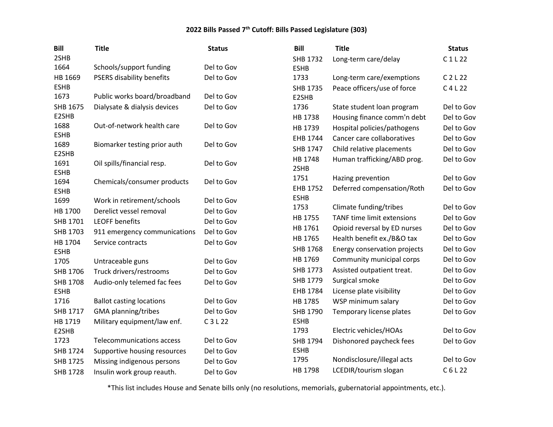| <b>Bill</b>     | <b>Title</b>                    | <b>Status</b> | Bill            | <b>Title</b>                      | <b>Status</b> |
|-----------------|---------------------------------|---------------|-----------------|-----------------------------------|---------------|
| 2SHB            |                                 |               | <b>SHB 1732</b> | Long-term care/delay              | C1L22         |
| 1664            | Schools/support funding         | Del to Gov    | <b>ESHB</b>     |                                   |               |
| HB 1669         | PSERS disability benefits       | Del to Gov    | 1733            | Long-term care/exemptions         | $C$ 2 L 22    |
| <b>ESHB</b>     |                                 |               | <b>SHB 1735</b> | Peace officers/use of force       | $C$ 4 L 22    |
| 1673            | Public works board/broadband    | Del to Gov    | E2SHB           |                                   |               |
| SHB 1675        | Dialysate & dialysis devices    | Del to Gov    | 1736            | State student loan program        | Del to Gov    |
| E2SHB           |                                 |               | HB 1738         | Housing finance comm'n debt       | Del to Gov    |
| 1688            | Out-of-network health care      | Del to Gov    | HB 1739         | Hospital policies/pathogens       | Del to Gov    |
| <b>ESHB</b>     |                                 |               | EHB 1744        | Cancer care collaboratives        | Del to Gov    |
| 1689<br>E2SHB   | Biomarker testing prior auth    | Del to Gov    | SHB 1747        | Child relative placements         | Del to Gov    |
| 1691            | Oil spills/financial resp.      | Del to Gov    | HB 1748         | Human trafficking/ABD prog.       | Del to Gov    |
| <b>ESHB</b>     |                                 |               | 2SHB            |                                   |               |
| 1694            | Chemicals/consumer products     | Del to Gov    | 1751            | Hazing prevention                 | Del to Gov    |
| <b>ESHB</b>     |                                 |               | EHB 1752        | Deferred compensation/Roth        | Del to Gov    |
| 1699            | Work in retirement/schools      | Del to Gov    | <b>ESHB</b>     |                                   |               |
| HB 1700         | Derelict vessel removal         | Del to Gov    | 1753            | Climate funding/tribes            | Del to Gov    |
| SHB 1701        | <b>LEOFF benefits</b>           | Del to Gov    | HB 1755         | <b>TANF time limit extensions</b> | Del to Gov    |
| SHB 1703        | 911 emergency communications    | Del to Gov    | HB 1761         | Opioid reversal by ED nurses      | Del to Gov    |
| HB 1704         | Service contracts               | Del to Gov    | HB 1765         | Health benefit ex./B&O tax        | Del to Gov    |
| <b>ESHB</b>     |                                 |               | SHB 1768        | Energy conservation projects      | Del to Gov    |
| 1705            | Untraceable guns                | Del to Gov    | HB 1769         | Community municipal corps         | Del to Gov    |
| SHB 1706        | Truck drivers/restrooms         | Del to Gov    | SHB 1773        | Assisted outpatient treat.        | Del to Gov    |
| <b>SHB 1708</b> | Audio-only telemed fac fees     | Del to Gov    | SHB 1779        | Surgical smoke                    | Del to Gov    |
| <b>ESHB</b>     |                                 |               | EHB 1784        | License plate visibility          | Del to Gov    |
| 1716            | <b>Ballot casting locations</b> | Del to Gov    | HB 1785         | WSP minimum salary                | Del to Gov    |
| SHB 1717        | <b>GMA</b> planning/tribes      | Del to Gov    | SHB 1790        | Temporary license plates          | Del to Gov    |
| HB 1719         | Military equipment/law enf.     | C 3 L 22      | <b>ESHB</b>     |                                   |               |
| E2SHB           |                                 |               | 1793            | Electric vehicles/HOAs            | Del to Gov    |
| 1723            | Telecommunications access       | Del to Gov    | SHB 1794        | Dishonored paycheck fees          | Del to Gov    |
| <b>SHB 1724</b> | Supportive housing resources    | Del to Gov    | <b>ESHB</b>     |                                   |               |
| SHB 1725        | Missing indigenous persons      | Del to Gov    | 1795            | Nondisclosure/illegal acts        | Del to Gov    |
| <b>SHB 1728</b> | Insulin work group reauth.      | Del to Gov    | HB 1798         | LCEDIR/tourism slogan             | C6L22         |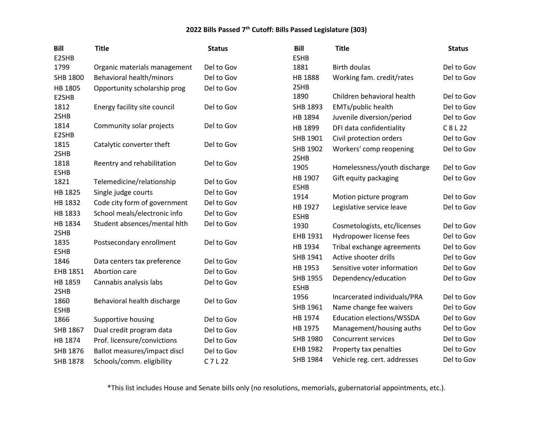| <b>Bill</b><br>E2SHB | <b>Title</b>                                 | <b>Status</b> | <b>Bill</b><br><b>ESHB</b> | <b>Title</b>                     | <b>Status</b> |
|----------------------|----------------------------------------------|---------------|----------------------------|----------------------------------|---------------|
| 1799                 | Organic materials management                 | Del to Gov    | 1881                       | <b>Birth doulas</b>              | Del to Gov    |
| SHB 1800             | Behavioral health/minors                     | Del to Gov    | HB 1888                    | Working fam. credit/rates        | Del to Gov    |
| HB 1805              | Opportunity scholarship prog                 | Del to Gov    | 2SHB                       |                                  |               |
| E2SHB                |                                              |               | 1890                       | Children behavioral health       | Del to Gov    |
| 1812                 | Energy facility site council                 | Del to Gov    | SHB 1893                   | EMTs/public health               | Del to Gov    |
| 2SHB                 |                                              |               | HB 1894                    | Juvenile diversion/period        | Del to Gov    |
| 1814                 | Community solar projects                     | Del to Gov    | HB 1899                    | DFI data confidentiality         | C 8 L 22      |
| E2SHB<br>1815        |                                              | Del to Gov    | SHB 1901                   | Civil protection orders          | Del to Gov    |
| 2SHB                 | Catalytic converter theft                    |               | SHB 1902                   | Workers' comp reopening          | Del to Gov    |
| 1818                 | Reentry and rehabilitation                   | Del to Gov    | 2SHB                       |                                  |               |
| <b>ESHB</b>          |                                              |               | 1905                       | Homelessness/youth discharge     | Del to Gov    |
| 1821                 | Telemedicine/relationship                    | Del to Gov    | HB 1907                    | Gift equity packaging            | Del to Gov    |
| HB 1825              | Single judge courts                          | Del to Gov    | <b>ESHB</b><br>1914        | Motion picture program           | Del to Gov    |
| HB 1832              | Code city form of government                 | Del to Gov    | HB 1927                    | Legislative service leave        | Del to Gov    |
| HB 1833              | School meals/electronic info                 | Del to Gov    | <b>ESHB</b>                |                                  |               |
| HB 1834              | Student absences/mental hith                 | Del to Gov    | 1930                       | Cosmetologists, etc/licenses     | Del to Gov    |
| 2SHB                 |                                              |               | EHB 1931                   | Hydropower license fees          | Del to Gov    |
| 1835                 | Postsecondary enrollment                     | Del to Gov    | HB 1934                    | Tribal exchange agreements       | Del to Gov    |
| <b>ESHB</b><br>1846  |                                              | Del to Gov    | SHB 1941                   | Active shooter drills            | Del to Gov    |
| EHB 1851             | Data centers tax preference<br>Abortion care | Del to Gov    | HB 1953                    | Sensitive voter information      | Del to Gov    |
| HB 1859              |                                              | Del to Gov    | SHB 1955                   | Dependency/education             | Del to Gov    |
| 2SHB                 | Cannabis analysis labs                       |               | <b>ESHB</b>                |                                  |               |
| 1860                 | Behavioral health discharge                  | Del to Gov    | 1956                       | Incarcerated individuals/PRA     | Del to Gov    |
| <b>ESHB</b>          |                                              |               | SHB 1961                   | Name change fee waivers          | Del to Gov    |
| 1866                 | Supportive housing                           | Del to Gov    | HB 1974                    | <b>Education elections/WSSDA</b> | Del to Gov    |
| SHB 1867             | Dual credit program data                     | Del to Gov    | HB 1975                    | Management/housing auths         | Del to Gov    |
| HB 1874              | Prof. licensure/convictions                  | Del to Gov    | SHB 1980                   | <b>Concurrent services</b>       | Del to Gov    |
| SHB 1876             | Ballot measures/impact discl                 | Del to Gov    | EHB 1982                   | Property tax penalties           | Del to Gov    |
| <b>SHB 1878</b>      | Schools/comm. eligibility                    | $C$ 7 L 22    | SHB 1984                   | Vehicle reg. cert. addresses     | Del to Gov    |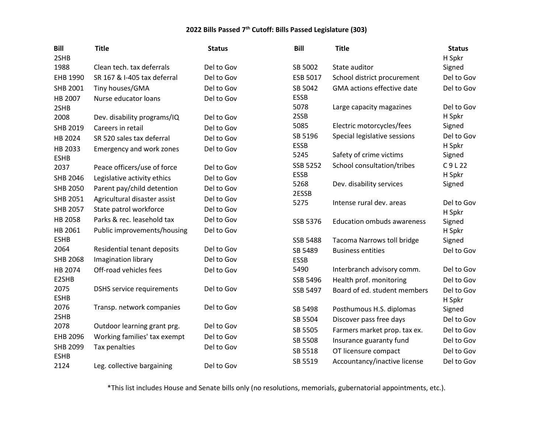| <b>Bill</b>     | <b>Title</b>                     | <b>Status</b> | <b>Bill</b>     | <b>Title</b>                      | <b>Status</b> |
|-----------------|----------------------------------|---------------|-----------------|-----------------------------------|---------------|
| 2SHB            |                                  |               |                 |                                   | H Spkr        |
| 1988            | Clean tech. tax deferrals        | Del to Gov    | SB 5002         | State auditor                     | Signed        |
| EHB 1990        | SR 167 & I-405 tax deferral      | Del to Gov    | ESB 5017        | School district procurement       | Del to Gov    |
| SHB 2001        | Tiny houses/GMA                  | Del to Gov    | SB 5042         | GMA actions effective date        | Del to Gov    |
| HB 2007         | Nurse educator loans             | Del to Gov    | <b>ESSB</b>     |                                   |               |
| 2SHB            |                                  |               | 5078            | Large capacity magazines          | Del to Gov    |
| 2008            | Dev. disability programs/IQ      | Del to Gov    | 2SSB            |                                   | H Spkr        |
| SHB 2019        | Careers in retail                | Del to Gov    | 5085            | Electric motorcycles/fees         | Signed        |
| HB 2024         | SR 520 sales tax deferral        | Del to Gov    | SB 5196         | Special legislative sessions      | Del to Gov    |
| HB 2033         | Emergency and work zones         | Del to Gov    | <b>ESSB</b>     |                                   | H Spkr        |
| <b>ESHB</b>     |                                  |               | 5245            | Safety of crime victims           | Signed        |
| 2037            | Peace officers/use of force      | Del to Gov    | <b>SSB 5252</b> | School consultation/tribes        | C9L22         |
| SHB 2046        | Legislative activity ethics      | Del to Gov    | <b>ESSB</b>     |                                   | H Spkr        |
| <b>SHB 2050</b> | Parent pay/child detention       | Del to Gov    | 5268            | Dev. disability services          | Signed        |
| SHB 2051        | Agricultural disaster assist     | Del to Gov    | 2ESSB<br>5275   | Intense rural dev. areas          | Del to Gov    |
| <b>SHB 2057</b> | State patrol workforce           | Del to Gov    |                 |                                   | H Spkr        |
| HB 2058         | Parks & rec. leasehold tax       | Del to Gov    | <b>SSB 5376</b> | <b>Education ombuds awareness</b> | Signed        |
| HB 2061         | Public improvements/housing      | Del to Gov    |                 |                                   | H Spkr        |
| <b>ESHB</b>     |                                  |               | <b>SSB 5488</b> | <b>Tacoma Narrows toll bridge</b> | Signed        |
| 2064            | Residential tenant deposits      | Del to Gov    | SB 5489         | <b>Business entities</b>          | Del to Gov    |
| <b>SHB 2068</b> | Imagination library              | Del to Gov    | <b>ESSB</b>     |                                   |               |
| HB 2074         | Off-road vehicles fees           | Del to Gov    | 5490            | Interbranch advisory comm.        | Del to Gov    |
| E2SHB           |                                  |               | SSB 5496        | Health prof. monitoring           | Del to Gov    |
| 2075            | <b>DSHS</b> service requirements | Del to Gov    | SSB 5497        | Board of ed. student members      | Del to Gov    |
| <b>ESHB</b>     |                                  |               |                 |                                   | H Spkr        |
| 2076            | Transp. network companies        | Del to Gov    | SB 5498         | Posthumous H.S. diplomas          | Signed        |
| 2SHB            |                                  |               | SB 5504         | Discover pass free days           | Del to Gov    |
| 2078            | Outdoor learning grant prg.      | Del to Gov    | SB 5505         | Farmers market prop. tax ex.      | Del to Gov    |
| EHB 2096        | Working families' tax exempt     | Del to Gov    | SB 5508         | Insurance guaranty fund           | Del to Gov    |
| <b>SHB 2099</b> | Tax penalties                    | Del to Gov    | SB 5518         | OT licensure compact              | Del to Gov    |
| <b>ESHB</b>     |                                  |               | SB 5519         | Accountancy/inactive license      | Del to Gov    |
| 2124            | Leg. collective bargaining       | Del to Gov    |                 |                                   |               |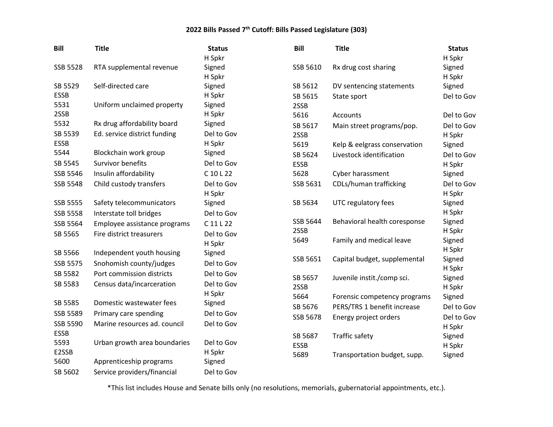| <b>Bill</b>     | <b>Title</b>                 | <b>Status</b> | <b>Bill</b> | <b>Title</b>                 | <b>Status</b>    |
|-----------------|------------------------------|---------------|-------------|------------------------------|------------------|
|                 |                              | H Spkr        |             |                              | H Spkr           |
| <b>SSB 5528</b> | RTA supplemental revenue     | Signed        | SSB 5610    | Rx drug cost sharing         | Signed           |
|                 |                              | H Spkr        |             |                              | H Spkr           |
| SB 5529         | Self-directed care           | Signed        | SB 5612     | DV sentencing statements     | Signed           |
| <b>ESSB</b>     |                              | H Spkr        | SB 5615     | State sport                  | Del to Gov       |
| 5531            | Uniform unclaimed property   | Signed        | 2SSB        |                              |                  |
| 2SSB            |                              | H Spkr        | 5616        | Accounts                     | Del to Gov       |
| 5532            | Rx drug affordability board  | Signed        | SB 5617     | Main street programs/pop.    | Del to Gov       |
| SB 5539         | Ed. service district funding | Del to Gov    | 2SSB        |                              | H Spkr           |
| <b>ESSB</b>     |                              | H Spkr        | 5619        | Kelp & eelgrass conservation | Signed           |
| 5544            | Blockchain work group        | Signed        | SB 5624     | Livestock identification     | Del to Gov       |
| SB 5545         | Survivor benefits            | Del to Gov    | <b>ESSB</b> |                              | H Spkr           |
| <b>SSB 5546</b> | Insulin affordability        | C 10 L 22     | 5628        | Cyber harassment             | Signed           |
| SSB 5548        | Child custody transfers      | Del to Gov    | SSB 5631    | CDLs/human trafficking       | Del to Gov       |
|                 |                              | H Spkr        |             |                              | H Spkr           |
| SSB 5555        | Safety telecommunicators     | Signed        | SB 5634     | UTC regulatory fees          | Signed           |
| <b>SSB 5558</b> | Interstate toll bridges      | Del to Gov    |             |                              | H Spkr           |
| SSB 5564        | Employee assistance programs | $C$ 11 L 22   | SSB 5644    | Behavioral health coresponse | Signed           |
| SB 5565         | Fire district treasurers     | Del to Gov    | 2SSB        |                              | H Spkr           |
|                 |                              | H Spkr        | 5649        | Family and medical leave     | Signed           |
| SB 5566         | Independent youth housing    | Signed        | SSB 5651    | Capital budget, supplemental | H Spkr<br>Signed |
| SSB 5575        | Snohomish county/judges      | Del to Gov    |             |                              | H Spkr           |
| SB 5582         | Port commission districts    | Del to Gov    | SB 5657     | Juvenile instit./comp sci.   | Signed           |
| SB 5583         | Census data/incarceration    | Del to Gov    | 2SSB        |                              | H Spkr           |
|                 |                              | H Spkr        | 5664        | Forensic competency programs | Signed           |
| SB 5585         | Domestic wastewater fees     | Signed        | SB 5676     | PERS/TRS 1 benefit increase  | Del to Gov       |
| SSB 5589        | Primary care spending        | Del to Gov    | SSB 5678    | Energy project orders        | Del to Gov       |
| SSB 5590        | Marine resources ad. council | Del to Gov    |             |                              | H Spkr           |
| <b>ESSB</b>     |                              |               | SB 5687     | Traffic safety               | Signed           |
| 5593            | Urban growth area boundaries | Del to Gov    | <b>ESSB</b> |                              | H Spkr           |
| E2SSB           |                              | H Spkr        | 5689        | Transportation budget, supp. | Signed           |
| 5600            | Apprenticeship programs      | Signed        |             |                              |                  |
| SB 5602         | Service providers/financial  | Del to Gov    |             |                              |                  |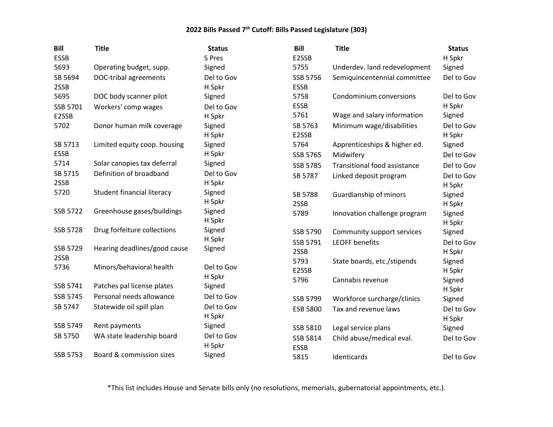| <b>Bill</b> | <b>Title</b>                 | <b>Status</b>        | <b>Bill</b> | <b>Title</b>                 | <b>Status</b> |
|-------------|------------------------------|----------------------|-------------|------------------------------|---------------|
| <b>ESSB</b> |                              | S Pres               | E2SSB       |                              | H Spkr        |
| 5693        | Operating budget, supp.      | Signed               | 5755        | Underdev. land redevelopment | Signed        |
| SB 5694     | DOC-tribal agreements        | Del to Gov           | SSB 5756    | Semiquincentennial committee | Del to Gov    |
| 2SSB        |                              | H Spkr               | <b>ESSB</b> |                              |               |
| 5695        | DOC body scanner pilot       | Signed               | 5758        | Condominium conversions      | Del to Gov    |
| SSB 5701    | Workers' comp wages          | Del to Gov           | <b>ESSB</b> |                              | H Spkr        |
| E2SSB       |                              | H Spkr               | 5761        | Wage and salary information  | Signed        |
| 5702        | Donor human milk coverage    | Signed               | SB 5763     | Minimum wage/disabilities    | Del to Gov    |
|             |                              | H Spkr               | E2SSB       |                              | H Spkr        |
| SB 5713     | Limited equity coop. housing | Signed               | 5764        | Apprenticeships & higher ed. | Signed        |
| <b>ESSB</b> |                              | H Spkr               | SSB 5765    | Midwifery                    | Del to Gov    |
| 5714        | Solar canopies tax deferral  | Signed               | SSB 5785    | Transitional food assistance | Del to Gov    |
| SB 5715     | Definition of broadband      | Del to Gov           | SB 5787     | Linked deposit program       | Del to Gov    |
| 2SSB        |                              | H Spkr               |             |                              | H Spkr        |
| 5720        | Student financial literacy   | Signed               | SB 5788     | Guardianship of minors       | Signed        |
|             |                              | H Spkr               | 2SSB        |                              | H Spkr        |
| SSB 5722    | Greenhouse gases/buildings   | Signed               | 5789        | Innovation challenge program | Signed        |
|             |                              | H Spkr               |             |                              | H Spkr        |
| SSB 5728    | Drug forfeiture collections  | Signed               | SSB 5790    | Community support services   | Signed        |
|             |                              | H Spkr               | SSB 5791    | <b>LEOFF benefits</b>        | Del to Gov    |
| SSB 5729    | Hearing deadlines/good cause | Signed               | 2SSB        |                              | H Spkr        |
| 2SSB        |                              |                      | 5793        | State boards, etc./stipends  | Signed        |
| 5736        | Minors/behavioral health     | Del to Gov<br>H Spkr | E2SSB       |                              | H Spkr        |
| SSB 5741    | Patches pal license plates   | Signed               | 5796        | Cannabis revenue             | Signed        |
| SSB 5745    | Personal needs allowance     | Del to Gov           |             |                              | H Spkr        |
|             |                              |                      | SSB 5799    | Workforce surcharge/clinics  | Signed        |
| SB 5747     | Statewide oil spill plan     | Del to Gov           | ESB 5800    | Tax and revenue laws         | Del to Gov    |
| SSB 5749    |                              | H Spkr               |             |                              | H Spkr        |
|             | Rent payments                | Signed               | SSB 5810    | Legal service plans          | Signed        |
| SB 5750     | WA state leadership board    | Del to Gov           | SSB 5814    | Child abuse/medical eval.    | Del to Gov    |
|             |                              | H Spkr               | <b>ESSB</b> |                              |               |
| SSB 5753    | Board & commission sizes     | Signed               | 5815        | Identicards                  | Del to Gov    |